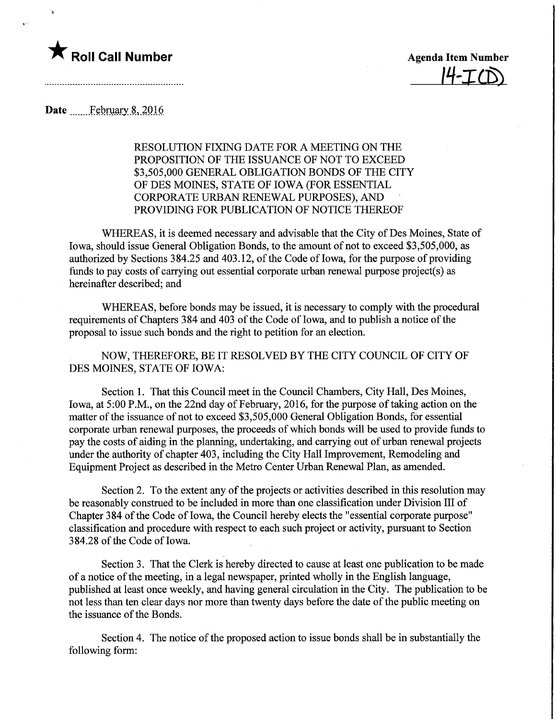

 $H-FCD$ 

Date ....... February 8, 2016

RESOLUTION FIXING DATE FOR A MEETING ON THE PROPOSITION OF THE ISSUANCE OF NOT TO EXCEED \$3,505,000 GENERAL OBLIGATION BONDS OF THE CITY OF DES MOINES, STATE OF IOWA (FOR ESSENTIAL CORPORATE URBAN RENEWAL PURPOSES), AND PROVIDING FOR PUBLICATION OF NOTICE THEREOF

WHEREAS, it is deemed necessary and advisable that the City of Des Moines, State of Iowa, should issue General Obligation Bonds, to the amount of not to exceed \$3,505,000, as authorized by Sections 384.25 and 403.12, of the Code of Iowa, for the purpose of providing funds to pay costs of carrying out essential corporate urban renewal purpose project(s) as hereinafter described; and

WHEREAS, before bonds may be issued, it is necessary to comply with the procedural requirements of Chapters 384 and 403 of the Code of Iowa, and to publish a notice of the proposal to issue such bonds and the right to petition for an election.

NOW, THEREFORE, BE IT RESOLVED BY THE CITY COUNCIL OF CITY OF DES MOINES, STATE OF IOWA:

Section 1. That this Council meet in the Council Chambers, City Hall, Des Moines, Iowa, at 5:00 P.M., on the 22nd day of February, 2016, for the purpose of taking action on the matter of the issuance of not to exceed \$3,505,000 General Obligation Bonds, for essential corporate urban renewal purposes, the proceeds of which bonds will be used to provide funds to pay the costs of aiding in the planning, undertaking, and carrying out of urban renewal projects under the authority of chapter 403, including the City Hall Improvement, Remodeling and Equipment Project as described in the Metro Center Urban Renewal Plan, as amended.

Section 2. To the extent any of the projects or activities described in this resolution may be reasonably construed to be included in more than one classification under Division III of Chapter 384 of the Code of Iowa, the Council hereby elects the "essential corporate purpose" classification and procedure with respect to each such project or activity, pursuant to Section 384.28 of the Code of Iowa.

Section 3. That the Clerk is hereby directed to cause at least one publication to be made of a notice of the meeting, in a legal newspaper, printed wholly in the English language, published at least once weekly, and having general circulation in the City. The publication to be not less than ten clear days nor more than twenty days before the date of the public meeting on the issuance of the Bonds.

Section 4. The notice of the proposed action to issue bonds shall be in substantially the following form: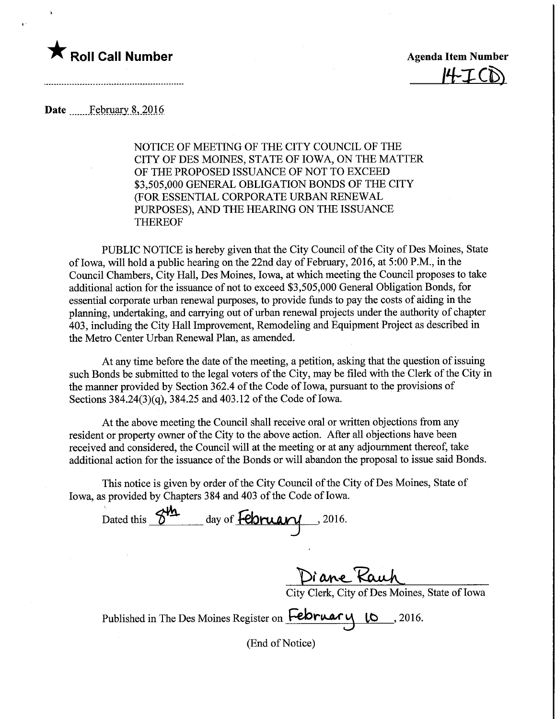

 $H-ICD$ 

## Date February 8, 2016

NOTICE OF MEETING OF THE CITY COUNCIL OF THE CITY OF DES MOINES, STATE OF IOWA, ON THE MATTER OF THE PROPOSED ISSUANCE OF NOT TO EXCEED \$3,505,000 GENERAL OBLIGATION BONDS OF THE CITY (FOR ESSENTIAL CORPORATE URBAN RENEWAL PURPOSES), AND THE HEARING ON THE ISSUANCE THEREOF

PUBLIC NOTICE is hereby given that the City Council of the City of Des Moines, State of Iowa, will hold a public hearing on the 22nd day of February, 2016, at 5:00 P.M., in the Council Chambers, City Hall, Des Moines, Iowa, at which meeting the Council proposes to take additional action for the issuance of not to exceed \$3,505,000 General Obligation Bonds, for essential corporate urban renewal purposes, to provide funds to pay the costs of aiding in the planning, undertaking, and carrying out of urban renewal projects under the authority of chapter 403, including the City Hall Improvement, Remodeling and Equipment Project as described in the Metro Center Urban Renewal Plan, as amended.

At any time before the date of the meeting, a petition, asking that the question of issuing such Bonds be submitted to the legal voters of the City, may be filed with the Clerk of the City in the manner provided by Section 362.4 of the Code of Iowa, pursuant to the provisions of Sections 384.24(3)(q), 384.25 and 403.12 of the Code of Iowa.

At the above meeting the Council shall receive oral or written objections from any resident or property owner of the City to the above action. After all objections have been received and considered, the Council will at the meeting or at any adjournment thereof, take additional action for the issuance of the Bonds or will abandon the proposal to issue said Bonds.

This notice is given by order of the City Council of the City of Des Moines, State of Iowa, as provided by Chapters 384 and 403 of the Code of Iowa.

Dated this  $8^{\frac{1}{12}}$  day of **February**, 2016.

Diane Rauh

City Clerk, City of Des Moines, State of Iowa

Published in The Des Moines Register on February 10, 2016.

(End of Notice)